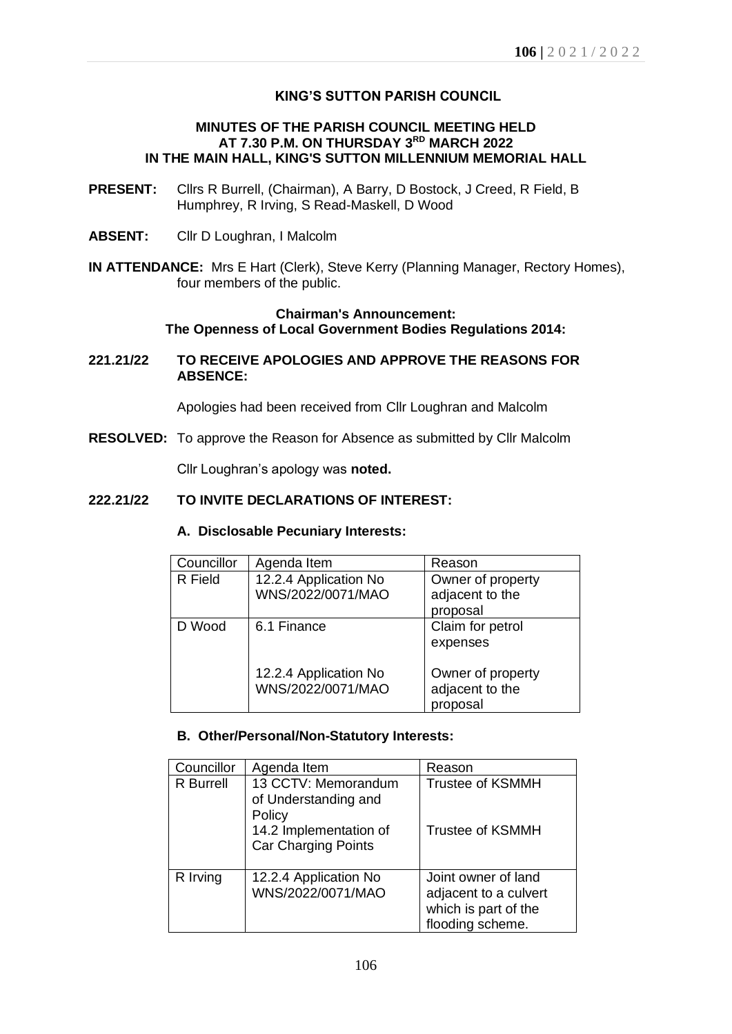## **KING'S SUTTON PARISH COUNCIL**

## **MINUTES OF THE PARISH COUNCIL MEETING HELD AT 7.30 P.M. ON THURSDAY 3 RD MARCH 2022 IN THE MAIN HALL, KING'S SUTTON MILLENNIUM MEMORIAL HALL**

- **PRESENT:** Cllrs R Burrell, (Chairman), A Barry, D Bostock, J Creed, R Field, B Humphrey, R Irving, S Read-Maskell, D Wood
- **ABSENT:** Cllr D Loughran, I Malcolm
- **IN ATTENDANCE:** Mrs E Hart (Clerk), Steve Kerry (Planning Manager, Rectory Homes), four members of the public.

## **Chairman's Announcement: The Openness of Local Government Bodies Regulations 2014:**

### **221.21/22 TO RECEIVE APOLOGIES AND APPROVE THE REASONS FOR ABSENCE:**

Apologies had been received from Cllr Loughran and Malcolm

**RESOLVED:** To approve the Reason for Absence as submitted by Cllr Malcolm

Cllr Loughran's apology was **noted.**

## **222.21/22 TO INVITE DECLARATIONS OF INTEREST:**

#### **A. Disclosable Pecuniary Interests:**

| Councillor | Agenda Item                                | Reason                                           |
|------------|--------------------------------------------|--------------------------------------------------|
| R Field    | 12.2.4 Application No<br>WNS/2022/0071/MAO | Owner of property<br>adjacent to the<br>proposal |
| D Wood     | 6.1 Finance                                | Claim for petrol<br>expenses                     |
|            | 12.2.4 Application No<br>WNS/2022/0071/MAO | Owner of property<br>adjacent to the<br>proposal |

### **B. Other/Personal/Non-Statutory Interests:**

| Councillor       | Agenda Item                                                                                                   | Reason                                                                                   |
|------------------|---------------------------------------------------------------------------------------------------------------|------------------------------------------------------------------------------------------|
| <b>R</b> Burrell | 13 CCTV: Memorandum<br>of Understanding and<br>Policy<br>14.2 Implementation of<br><b>Car Charging Points</b> | <b>Trustee of KSMMH</b><br>Trustee of KSMMH                                              |
| R Irving         | 12.2.4 Application No<br>WNS/2022/0071/MAO                                                                    | Joint owner of land<br>adjacent to a culvert<br>which is part of the<br>flooding scheme. |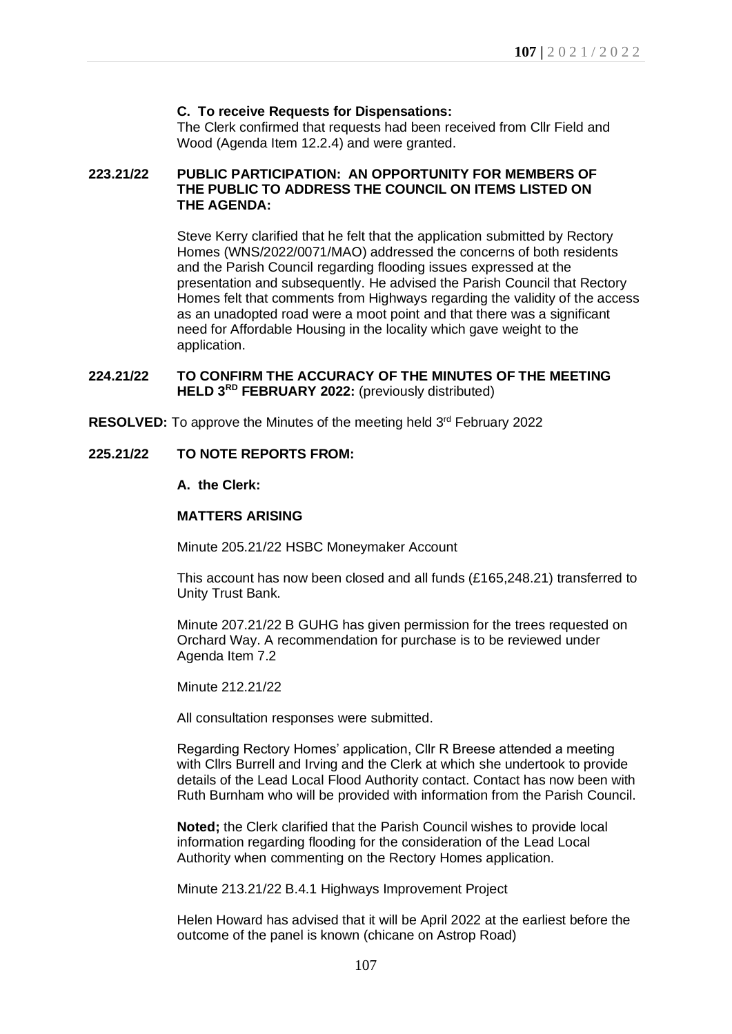## **C. To receive Requests for Dispensations:**

The Clerk confirmed that requests had been received from Cllr Field and Wood (Agenda Item 12.2.4) and were granted.

### **223.21/22 PUBLIC PARTICIPATION: AN OPPORTUNITY FOR MEMBERS OF THE PUBLIC TO ADDRESS THE COUNCIL ON ITEMS LISTED ON THE AGENDA:**

Steve Kerry clarified that he felt that the application submitted by Rectory Homes (WNS/2022/0071/MAO) addressed the concerns of both residents and the Parish Council regarding flooding issues expressed at the presentation and subsequently. He advised the Parish Council that Rectory Homes felt that comments from Highways regarding the validity of the access as an unadopted road were a moot point and that there was a significant need for Affordable Housing in the locality which gave weight to the application.

## **224.21/22 TO CONFIRM THE ACCURACY OF THE MINUTES OF THE MEETING HELD 3 RD FEBRUARY 2022:** (previously distributed)

**RESOLVED:** To approve the Minutes of the meeting held 3<sup>rd</sup> February 2022

### **225.21/22 TO NOTE REPORTS FROM:**

### **A. the Clerk:**

#### **MATTERS ARISING**

Minute 205.21/22 HSBC Moneymaker Account

This account has now been closed and all funds (£165,248.21) transferred to Unity Trust Bank.

Minute 207.21/22 B GUHG has given permission for the trees requested on Orchard Way. A recommendation for purchase is to be reviewed under Agenda Item 7.2

Minute 212.21/22

All consultation responses were submitted.

Regarding Rectory Homes' application, Cllr R Breese attended a meeting with Cllrs Burrell and Irving and the Clerk at which she undertook to provide details of the Lead Local Flood Authority contact. Contact has now been with Ruth Burnham who will be provided with information from the Parish Council.

**Noted;** the Clerk clarified that the Parish Council wishes to provide local information regarding flooding for the consideration of the Lead Local Authority when commenting on the Rectory Homes application.

Minute 213.21/22 B.4.1 Highways Improvement Project

Helen Howard has advised that it will be April 2022 at the earliest before the outcome of the panel is known (chicane on Astrop Road)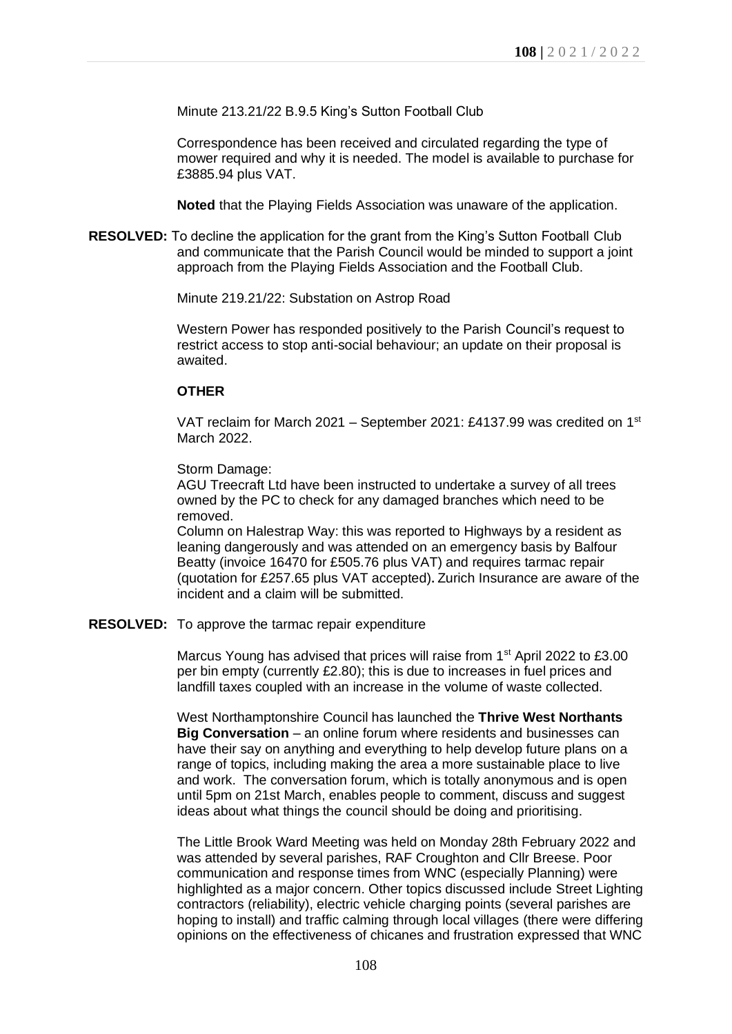Minute 213.21/22 B.9.5 King's Sutton Football Club

Correspondence has been received and circulated regarding the type of mower required and why it is needed. The model is available to purchase for £3885.94 plus VAT.

**Noted** that the Playing Fields Association was unaware of the application.

**RESOLVED:** To decline the application for the grant from the King's Sutton Football Club and communicate that the Parish Council would be minded to support a joint approach from the Playing Fields Association and the Football Club.

Minute 219.21/22: Substation on Astrop Road

Western Power has responded positively to the Parish Council's request to restrict access to stop anti-social behaviour; an update on their proposal is awaited.

#### **OTHER**

VAT reclaim for March 2021 – September 2021: £4137.99 was credited on 1st March 2022.

#### Storm Damage:

AGU Treecraft Ltd have been instructed to undertake a survey of all trees owned by the PC to check for any damaged branches which need to be removed.

Column on Halestrap Way: this was reported to Highways by a resident as leaning dangerously and was attended on an emergency basis by Balfour Beatty (invoice 16470 for £505.76 plus VAT) and requires tarmac repair (quotation for £257.65 plus VAT accepted)**.** Zurich Insurance are aware of the incident and a claim will be submitted.

#### **RESOLVED:** To approve the tarmac repair expenditure

Marcus Young has advised that prices will raise from 1<sup>st</sup> April 2022 to £3.00 per bin empty (currently £2.80); this is due to increases in fuel prices and landfill taxes coupled with an increase in the volume of waste collected.

West Northamptonshire Council has launched the **Thrive West Northants Big Conversation** – an online forum where residents and businesses can have their say on anything and everything to help develop future plans on a range of topics, including making the area a more sustainable place to live and work. The conversation forum, which is totally anonymous and is open until 5pm on 21st March, enables people to comment, discuss and suggest ideas about what things the council should be doing and prioritising.

The Little Brook Ward Meeting was held on Monday 28th February 2022 and was attended by several parishes, RAF Croughton and Cllr Breese. Poor communication and response times from WNC (especially Planning) were highlighted as a major concern. Other topics discussed include Street Lighting contractors (reliability), electric vehicle charging points (several parishes are hoping to install) and traffic calming through local villages (there were differing opinions on the effectiveness of chicanes and frustration expressed that WNC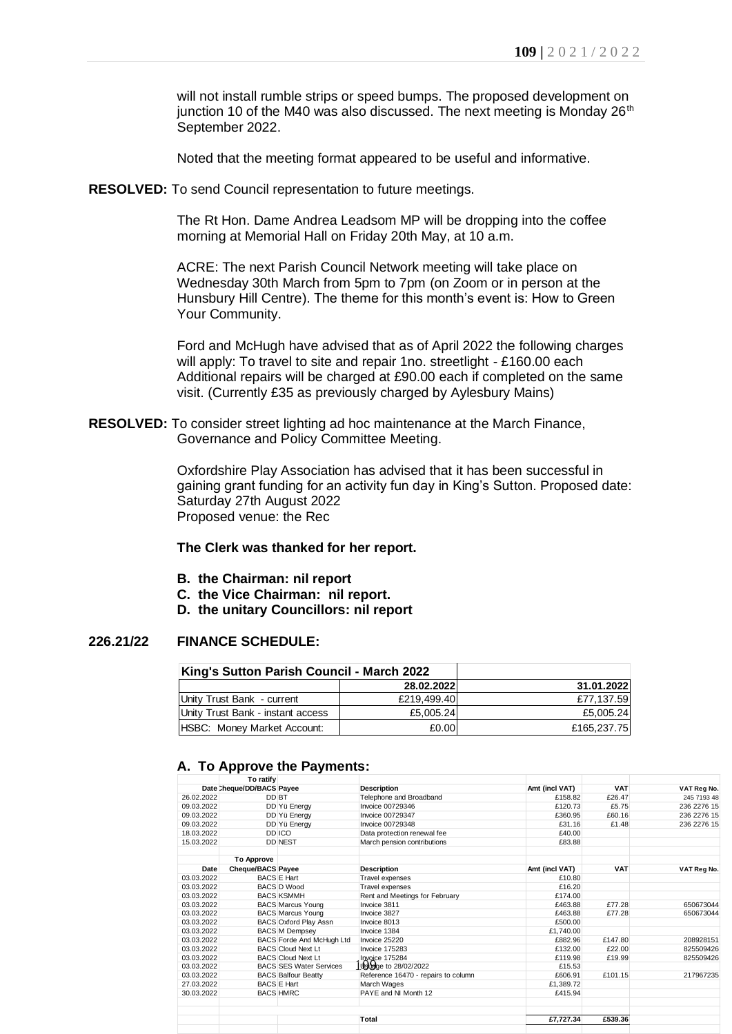will not install rumble strips or speed bumps. The proposed development on junction 10 of the M40 was also discussed. The next meeting is Monday  $26<sup>th</sup>$ September 2022.

Noted that the meeting format appeared to be useful and informative.

**RESOLVED:** To send Council representation to future meetings.

The Rt Hon. Dame Andrea Leadsom MP will be dropping into the coffee morning at Memorial Hall on Friday 20th May, at 10 a.m.

ACRE: The next Parish Council Network meeting will take place on Wednesday 30th March from 5pm to 7pm (on Zoom or in person at the Hunsbury Hill Centre). The theme for this month's event is: How to Green Your Community.

Ford and McHugh have advised that as of April 2022 the following charges will apply: To travel to site and repair 1no. streetlight - £160.00 each Additional repairs will be charged at £90.00 each if completed on the same visit. (Currently £35 as previously charged by Aylesbury Mains)

**RESOLVED:** To consider street lighting ad hoc maintenance at the March Finance, Governance and Policy Committee Meeting.

> Oxfordshire Play Association has advised that it has been successful in gaining grant funding for an activity fun day in King's Sutton. Proposed date: Saturday 27th August 2022 Proposed venue: the Rec

#### **The Clerk was thanked for her report.**

- **B. the Chairman: nil report**
- **C. the Vice Chairman: nil report.**
- **D. the unitary Councillors: nil report**

### **226.21/22 FINANCE SCHEDULE:**

| King's Sutton Parish Council - March 2022 |             |             |
|-------------------------------------------|-------------|-------------|
|                                           | 28.02.2022  | 31.01.2022  |
| Unity Trust Bank - current                | £219.499.40 | £77.137.59  |
| Unity Trust Bank - instant access         | £5,005.24   | £5,005.24   |
| HSBC: Money Market Account:               | £0.00       | £165,237.75 |

### **A. To Approve the Payments:**

|                          |                                        | King's Sutton Parish Council - March 2022 |                                                            |                    |                 |                            |
|--------------------------|----------------------------------------|-------------------------------------------|------------------------------------------------------------|--------------------|-----------------|----------------------------|
|                          |                                        |                                           | 28.02.2022                                                 |                    | 31.01.2022      |                            |
|                          | Unity Trust Bank - current             |                                           | £219,499.40                                                |                    | £77,137.59      |                            |
|                          | Unity Trust Bank - instant access      |                                           | £5,005.24                                                  | £5,005.24          |                 |                            |
|                          |                                        |                                           | £0.00                                                      | £165,237.75        |                 |                            |
|                          | HSBC: Money Market Account:            |                                           |                                                            |                    |                 |                            |
|                          |                                        |                                           |                                                            |                    |                 |                            |
|                          |                                        | A. To Approve the Payments:               |                                                            |                    |                 |                            |
|                          | To ratify<br>Date Cheque/DD/BACS Payee |                                           | <b>Description</b>                                         | Amt (incl VAT)     | <b>VAT</b>      | VAT Reg No.                |
| 26.02.2022               | DD BT                                  |                                           |                                                            |                    | £26.47          |                            |
|                          |                                        |                                           | Telephone and Broadband                                    | £158.82            |                 | 245 7193 48                |
| 09.03.2022<br>09.03.2022 |                                        | DD Yü Energy                              | Invoice 00729346<br>Invoice 00729347                       | £120.73<br>£360.95 | £5.75<br>£60.16 | 236 2276 15<br>236 2276 15 |
| 09.03.2022               |                                        | DD Yü Energy<br>DD Yü Energy              | Invoice 00729348                                           | £31.16             |                 | 236 2276 15                |
| 18.03.2022               |                                        | DD ICO                                    |                                                            | £40.00             | £1.48           |                            |
| 15.03.2022               |                                        | <b>DD NEST</b>                            | Data protection renewal fee<br>March pension contributions | £83.88             |                 |                            |
|                          |                                        |                                           |                                                            |                    |                 |                            |
|                          | <b>To Approve</b>                      |                                           |                                                            |                    |                 |                            |
| Date                     | <b>Cheque/BACS Payee</b>               |                                           | <b>Description</b>                                         | Amt (incl VAT)     | <b>VAT</b>      | VAT Reg No.                |
| 03.03.2022               |                                        | <b>BACS E Hart</b>                        | Travel expenses                                            | £10.80             |                 |                            |
| 03.03.2022               |                                        | <b>BACS D Wood</b>                        | Travel expenses                                            | £16.20             |                 |                            |
| 03.03.2022               |                                        | <b>BACS KSMMH</b>                         | Rent and Meetings for February                             | £174.00            |                 |                            |
| 03.03.2022               |                                        | <b>BACS Marcus Young</b>                  | Invoice 3811                                               | £463.88            | £77.28          | 650673044                  |
| 03.03.2022               |                                        | <b>BACS Marcus Young</b>                  | Invoice 3827                                               | £463.88            | £77.28          | 650673044                  |
| 03.03.2022               |                                        | <b>BACS Oxford Play Assn</b>              | Invoice 8013                                               | £500.00            |                 |                            |
| 03.03.2022               |                                        | <b>BACS M Dempsey</b>                     | Invoice 1384                                               | £1,740.00          |                 |                            |
| 03.03.2022               |                                        | <b>BACS Forde And McHugh Ltd</b>          | Invoice 25220                                              | £882.96            | £147.80         | 208928151                  |
| 03.03.2022               |                                        | <b>BACS Cloud Next Lt</b>                 | <b>Invoice 175283</b>                                      | £132.00            | £22.00          | 825509426                  |
| 03.03.2022               |                                        | <b>BACS Cloud Next Lt</b>                 | Invoice 175284                                             | £119.98            | £19.99          | 825509426                  |
| 03.03.2022               |                                        | <b>BACS SES Water Services</b>            | Usuage to 28/02/2022                                       | £15.53             |                 |                            |
| 03.03.2022               |                                        | <b>BACS Balfour Beatty</b>                | Reference 16470 - repairs to column                        | £606.91            | £101.15         | 217967235                  |
| 27.03.2022               |                                        | <b>BACS E Hart</b>                        | March Wages                                                | £1.389.72          |                 |                            |
| 30.03.2022               |                                        | <b>BACS HMRC</b>                          | PAYE and NI Month 12                                       | £415.94            |                 |                            |
|                          |                                        |                                           | Total                                                      | £7,727.34          | £539.36         |                            |
|                          |                                        |                                           |                                                            |                    |                 |                            |
|                          |                                        |                                           |                                                            |                    |                 |                            |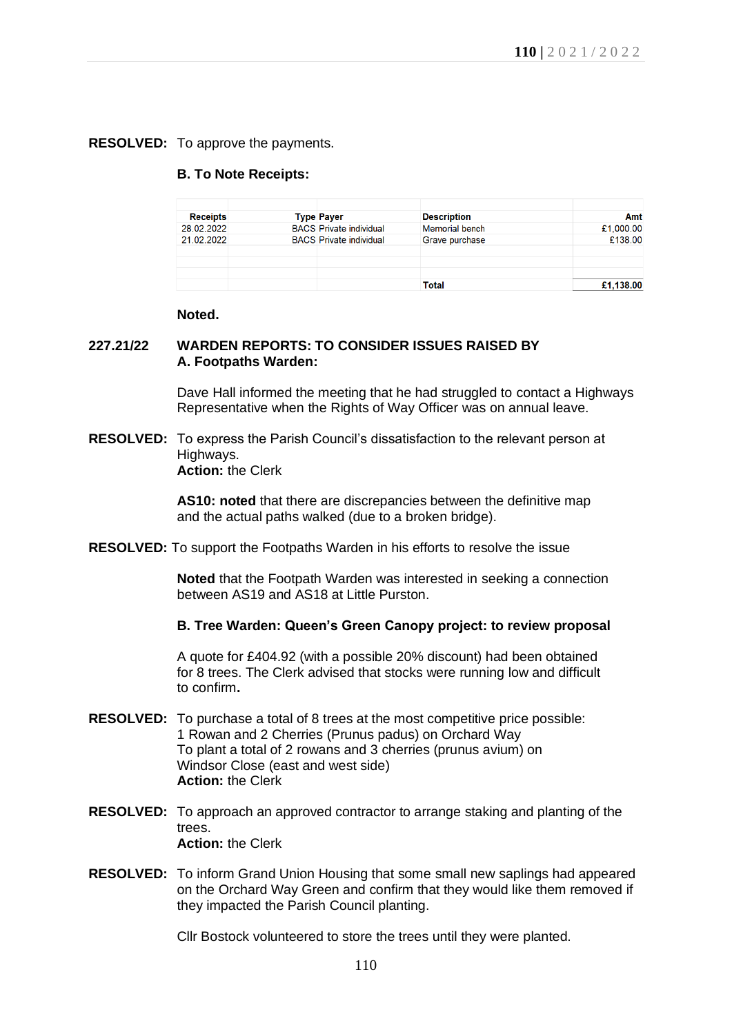## **RESOLVED:** To approve the payments.

#### **B. To Note Receipts:**

| <b>Receipts</b> | <b>Type Payer</b>              | <b>Description</b>    | Amt       |
|-----------------|--------------------------------|-----------------------|-----------|
| 28.02.2022      | <b>BACS</b> Private individual | <b>Memorial bench</b> | £1,000.00 |
| 21.02.2022      | <b>BACS</b> Private individual | Grave purchase        | £138.00   |
|                 |                                |                       |           |
|                 |                                |                       |           |
|                 |                                |                       |           |
|                 |                                | Total                 | £1.138.00 |

#### **Noted.**

### **227.21/22 WARDEN REPORTS: TO CONSIDER ISSUES RAISED BY A. Footpaths Warden:**

Dave Hall informed the meeting that he had struggled to contact a Highways Representative when the Rights of Way Officer was on annual leave.

**RESOLVED:** To express the Parish Council's dissatisfaction to the relevant person at Highways. **Action:** the Clerk

> **AS10: noted** that there are discrepancies between the definitive map and the actual paths walked (due to a broken bridge).

**RESOLVED:** To support the Footpaths Warden in his efforts to resolve the issue

**Noted** that the Footpath Warden was interested in seeking a connection between AS19 and AS18 at Little Purston.

## **B. Tree Warden: Queen's Green Canopy project: to review proposal**

A quote for £404.92 (with a possible 20% discount) had been obtained for 8 trees. The Clerk advised that stocks were running low and difficult to confirm**.**

- **RESOLVED:** To purchase a total of 8 trees at the most competitive price possible: 1 Rowan and 2 Cherries (Prunus padus) on Orchard Way To plant a total of 2 rowans and 3 cherries (prunus avium) on Windsor Close (east and west side) **Action:** the Clerk
- **RESOLVED:** To approach an approved contractor to arrange staking and planting of the trees. **Action:** the Clerk
- **RESOLVED:** To inform Grand Union Housing that some small new saplings had appeared on the Orchard Way Green and confirm that they would like them removed if they impacted the Parish Council planting.

Cllr Bostock volunteered to store the trees until they were planted.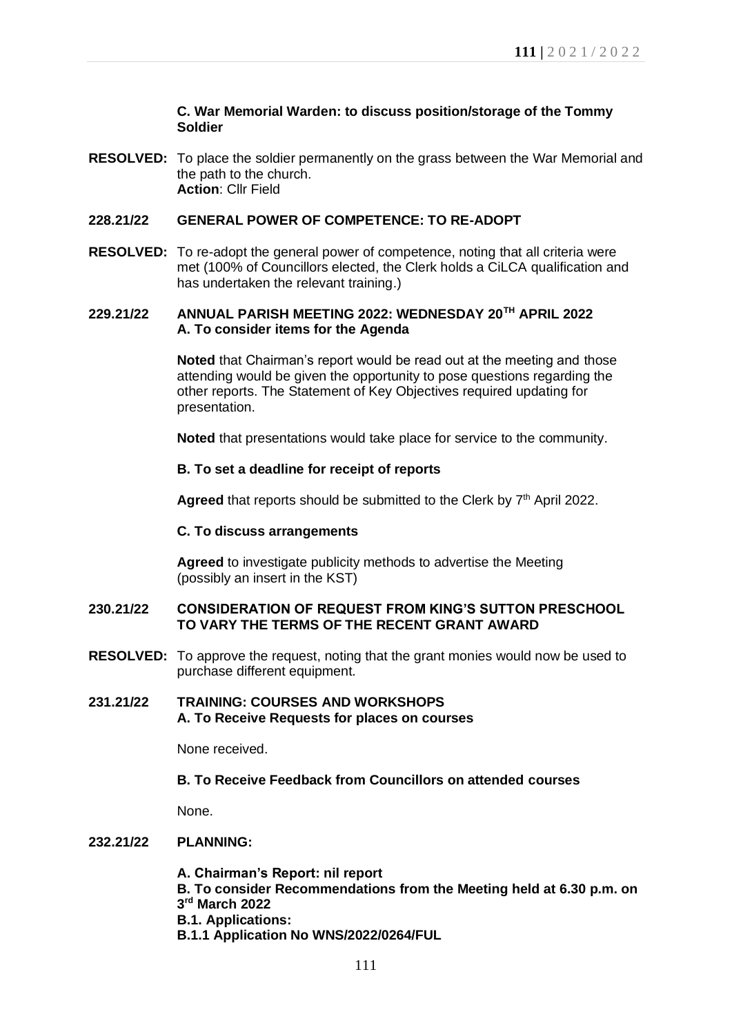### **C. War Memorial Warden: to discuss position/storage of the Tommy Soldier**

**RESOLVED:** To place the soldier permanently on the grass between the War Memorial and the path to the church. **Action**: Cllr Field

#### **228.21/22 GENERAL POWER OF COMPETENCE: TO RE-ADOPT**

**RESOLVED:** To re-adopt the general power of competence, noting that all criteria were met (100% of Councillors elected, the Clerk holds a CiLCA qualification and has undertaken the relevant training.)

### **229.21/22 ANNUAL PARISH MEETING 2022: WEDNESDAY 20TH APRIL 2022 A. To consider items for the Agenda**

**Noted** that Chairman's report would be read out at the meeting and those attending would be given the opportunity to pose questions regarding the other reports. The Statement of Key Objectives required updating for presentation.

**Noted** that presentations would take place for service to the community.

#### **B. To set a deadline for receipt of reports**

Agreed that reports should be submitted to the Clerk by 7<sup>th</sup> April 2022.

#### **C. To discuss arrangements**

**Agreed** to investigate publicity methods to advertise the Meeting (possibly an insert in the KST)

#### **230.21/22 CONSIDERATION OF REQUEST FROM KING'S SUTTON PRESCHOOL TO VARY THE TERMS OF THE RECENT GRANT AWARD**

**RESOLVED:** To approve the request, noting that the grant monies would now be used to purchase different equipment.

## **231.21/22 TRAINING: COURSES AND WORKSHOPS A. To Receive Requests for places on courses**

None received.

## **B. To Receive Feedback from Councillors on attended courses**

None.

### **232.21/22 PLANNING:**

- **A. Chairman's Report: nil report**
- **B. To consider Recommendations from the Meeting held at 6.30 p.m. on 3 rd March 2022**
- **B.1. Applications:**
- **B.1.1 Application No WNS/2022/0264/FUL**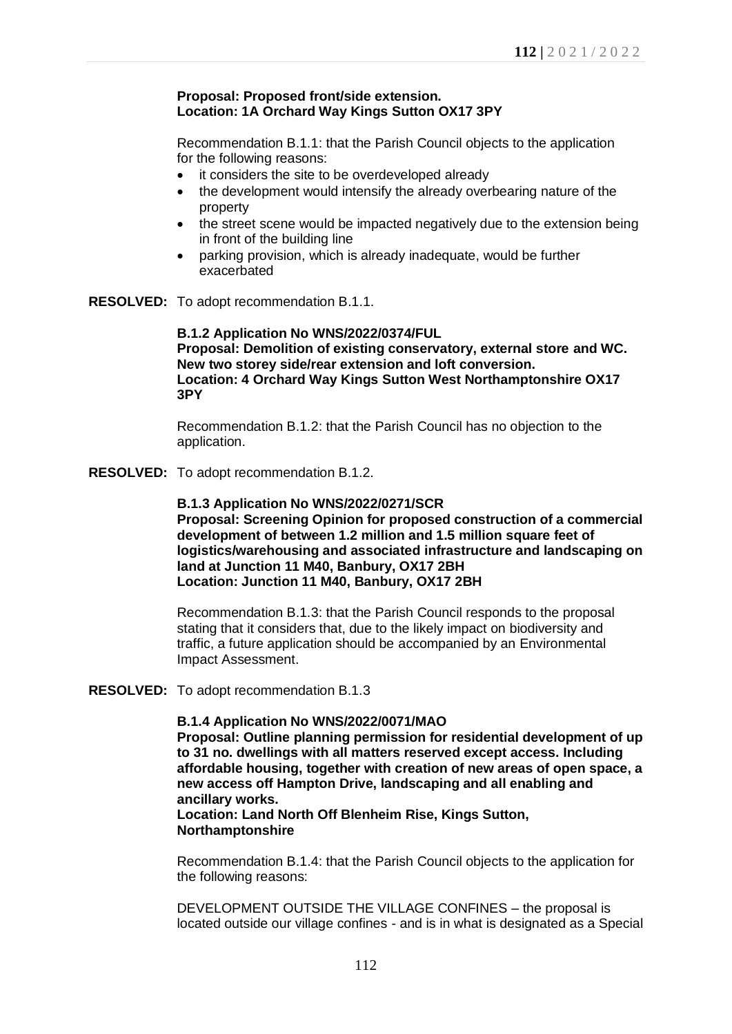#### **Proposal: Proposed front/side extension. Location: 1A Orchard Way Kings Sutton OX17 3PY**

Recommendation B.1.1: that the Parish Council objects to the application for the following reasons:

- it considers the site to be overdeveloped already
- the development would intensify the already overbearing nature of the property
- the street scene would be impacted negatively due to the extension being in front of the building line
- parking provision, which is already inadequate, would be further exacerbated

**RESOLVED:** To adopt recommendation B.1.1.

**B.1.2 Application No WNS/2022/0374/FUL Proposal: Demolition of existing conservatory, external store and WC. New two storey side/rear extension and loft conversion. Location: 4 Orchard Way Kings Sutton West Northamptonshire OX17 3PY**

Recommendation B.1.2: that the Parish Council has no objection to the application.

**RESOLVED:** To adopt recommendation B.1.2.

**B.1.3 Application No WNS/2022/0271/SCR Proposal: Screening Opinion for proposed construction of a commercial development of between 1.2 million and 1.5 million square feet of logistics/warehousing and associated infrastructure and landscaping on land at Junction 11 M40, Banbury, OX17 2BH Location: Junction 11 M40, Banbury, OX17 2BH**

Recommendation B.1.3: that the Parish Council responds to the proposal stating that it considers that, due to the likely impact on biodiversity and traffic, a future application should be accompanied by an Environmental Impact Assessment.

#### **RESOLVED:** To adopt recommendation B.1.3

### **B.1.4 Application No WNS/2022/0071/MAO**

**Proposal: Outline planning permission for residential development of up to 31 no. dwellings with all matters reserved except access. Including affordable housing, together with creation of new areas of open space, a new access off Hampton Drive, landscaping and all enabling and ancillary works.**

**Location: Land North Off Blenheim Rise, Kings Sutton, Northamptonshire**

Recommendation B.1.4: that the Parish Council objects to the application for the following reasons:

DEVELOPMENT OUTSIDE THE VILLAGE CONFINES – the proposal is located outside our village confines - and is in what is designated as a Special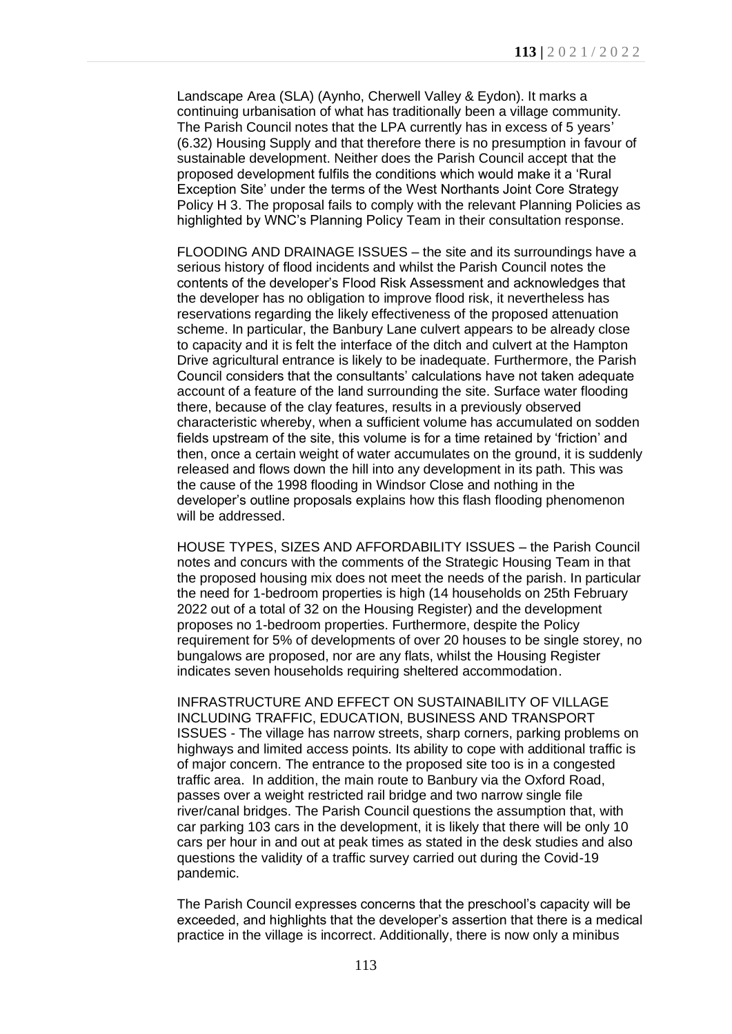Landscape Area (SLA) (Aynho, Cherwell Valley & Eydon). It marks a continuing urbanisation of what has traditionally been a village community. The Parish Council notes that the LPA currently has in excess of 5 years' (6.32) Housing Supply and that therefore there is no presumption in favour of sustainable development. Neither does the Parish Council accept that the proposed development fulfils the conditions which would make it a 'Rural Exception Site' under the terms of the West Northants Joint Core Strategy Policy H 3. The proposal fails to comply with the relevant Planning Policies as highlighted by WNC's Planning Policy Team in their consultation response.

FLOODING AND DRAINAGE ISSUES – the site and its surroundings have a serious history of flood incidents and whilst the Parish Council notes the contents of the developer's Flood Risk Assessment and acknowledges that the developer has no obligation to improve flood risk, it nevertheless has reservations regarding the likely effectiveness of the proposed attenuation scheme. In particular, the Banbury Lane culvert appears to be already close to capacity and it is felt the interface of the ditch and culvert at the Hampton Drive agricultural entrance is likely to be inadequate. Furthermore, the Parish Council considers that the consultants' calculations have not taken adequate account of a feature of the land surrounding the site. Surface water flooding there, because of the clay features, results in a previously observed characteristic whereby, when a sufficient volume has accumulated on sodden fields upstream of the site, this volume is for a time retained by 'friction' and then, once a certain weight of water accumulates on the ground, it is suddenly released and flows down the hill into any development in its path. This was the cause of the 1998 flooding in Windsor Close and nothing in the developer's outline proposals explains how this flash flooding phenomenon will be addressed.

HOUSE TYPES, SIZES AND AFFORDABILITY ISSUES – the Parish Council notes and concurs with the comments of the Strategic Housing Team in that the proposed housing mix does not meet the needs of the parish. In particular the need for 1-bedroom properties is high (14 households on 25th February 2022 out of a total of 32 on the Housing Register) and the development proposes no 1-bedroom properties. Furthermore, despite the Policy requirement for 5% of developments of over 20 houses to be single storey, no bungalows are proposed, nor are any flats, whilst the Housing Register indicates seven households requiring sheltered accommodation.

INFRASTRUCTURE AND EFFECT ON SUSTAINABILITY OF VILLAGE INCLUDING TRAFFIC, EDUCATION, BUSINESS AND TRANSPORT ISSUES - The village has narrow streets, sharp corners, parking problems on highways and limited access points. Its ability to cope with additional traffic is of major concern. The entrance to the proposed site too is in a congested traffic area. In addition, the main route to Banbury via the Oxford Road, passes over a weight restricted rail bridge and two narrow single file river/canal bridges. The Parish Council questions the assumption that, with car parking 103 cars in the development, it is likely that there will be only 10 cars per hour in and out at peak times as stated in the desk studies and also questions the validity of a traffic survey carried out during the Covid-19 pandemic.

The Parish Council expresses concerns that the preschool's capacity will be exceeded, and highlights that the developer's assertion that there is a medical practice in the village is incorrect. Additionally, there is now only a minibus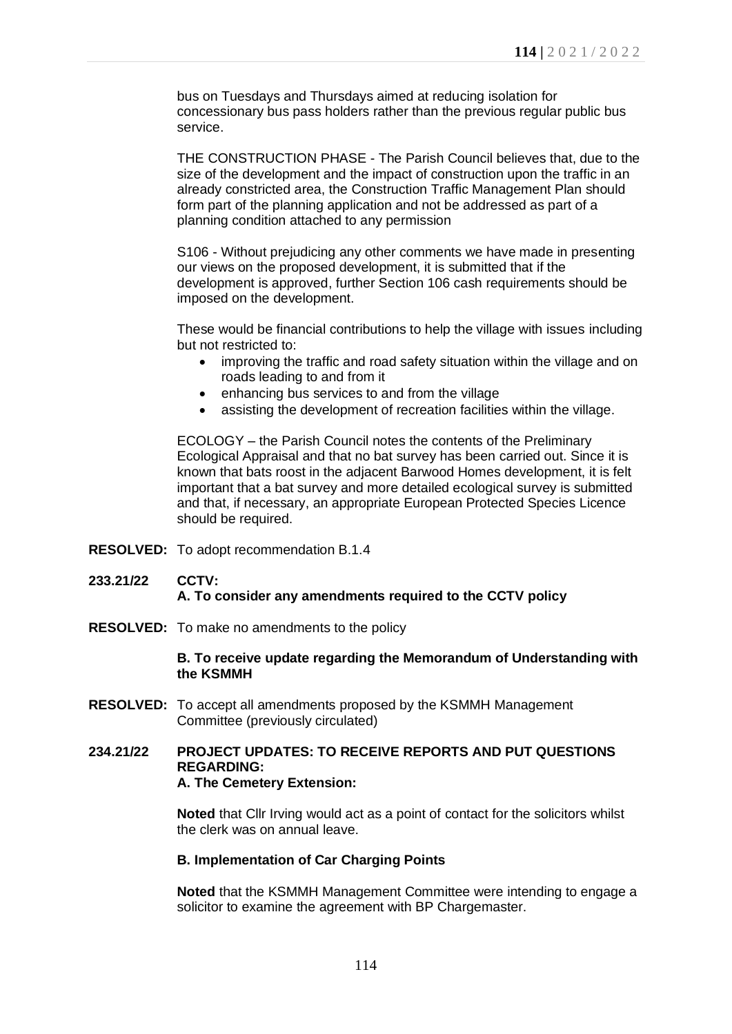bus on Tuesdays and Thursdays aimed at reducing isolation for concessionary bus pass holders rather than the previous regular public bus service.

THE CONSTRUCTION PHASE - The Parish Council believes that, due to the size of the development and the impact of construction upon the traffic in an already constricted area, the Construction Traffic Management Plan should form part of the planning application and not be addressed as part of a planning condition attached to any permission

S106 - Without prejudicing any other comments we have made in presenting our views on the proposed development, it is submitted that if the development is approved, further Section 106 cash requirements should be imposed on the development.

These would be financial contributions to help the village with issues including but not restricted to:

- improving the traffic and road safety situation within the village and on roads leading to and from it
- enhancing bus services to and from the village
- assisting the development of recreation facilities within the village.

ECOLOGY – the Parish Council notes the contents of the Preliminary Ecological Appraisal and that no bat survey has been carried out. Since it is known that bats roost in the adjacent Barwood Homes development, it is felt important that a bat survey and more detailed ecological survey is submitted and that, if necessary, an appropriate European Protected Species Licence should be required.

**RESOLVED:** To adopt recommendation B.1.4

## **233.21/22 CCTV: A. To consider any amendments required to the CCTV policy**

**RESOLVED:** To make no amendments to the policy

### **B. To receive update regarding the Memorandum of Understanding with the KSMMH**

**RESOLVED:** To accept all amendments proposed by the KSMMH Management Committee (previously circulated)

#### **234.21/22 PROJECT UPDATES: TO RECEIVE REPORTS AND PUT QUESTIONS REGARDING: A. The Cemetery Extension:**

**Noted** that Cllr Irving would act as a point of contact for the solicitors whilst the clerk was on annual leave.

## **B. Implementation of Car Charging Points**

**Noted** that the KSMMH Management Committee were intending to engage a solicitor to examine the agreement with BP Chargemaster.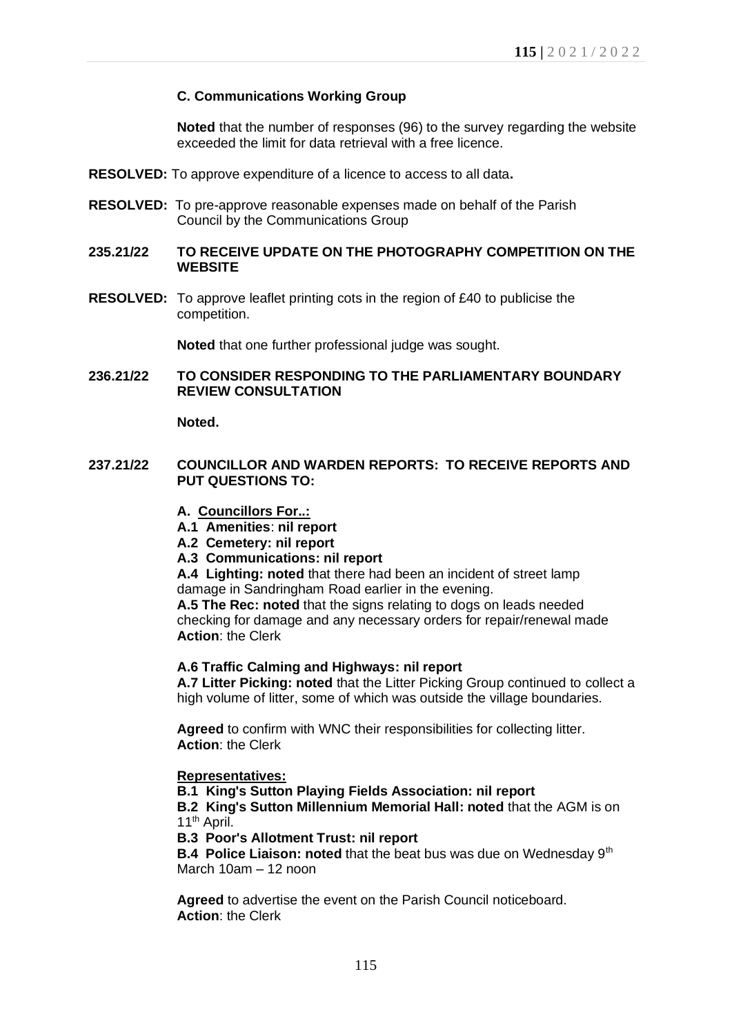## **C. Communications Working Group**

**Noted** that the number of responses (96) to the survey regarding the website exceeded the limit for data retrieval with a free licence.

- **RESOLVED:** To approve expenditure of a licence to access to all data**.**
- **RESOLVED:** To pre-approve reasonable expenses made on behalf of the Parish Council by the Communications Group
- **235.21/22 TO RECEIVE UPDATE ON THE PHOTOGRAPHY COMPETITION ON THE WEBSITE**
- **RESOLVED:** To approve leaflet printing cots in the region of £40 to publicise the competition.

**Noted** that one further professional judge was sought.

### **236.21/22 TO CONSIDER RESPONDING TO THE PARLIAMENTARY BOUNDARY REVIEW CONSULTATION**

**Noted.**

- **237.21/22 COUNCILLOR AND WARDEN REPORTS: TO RECEIVE REPORTS AND PUT QUESTIONS TO:**
	- **A. Councillors For..:**
	- **A.1 Amenities**: **nil report**
	- **A.2 Cemetery: nil report**
	- **A.3 Communications: nil report**

**A.4 Lighting: noted** that there had been an incident of street lamp damage in Sandringham Road earlier in the evening.

**A.5 The Rec: noted** that the signs relating to dogs on leads needed checking for damage and any necessary orders for repair/renewal made **Action**: the Clerk

## **A.6 Traffic Calming and Highways: nil report**

**A.7 Litter Picking: noted** that the Litter Picking Group continued to collect a high volume of litter, some of which was outside the village boundaries.

**Agreed** to confirm with WNC their responsibilities for collecting litter. **Action**: the Clerk

## **Representatives:**

**B.1 King's Sutton Playing Fields Association: nil report**

**B.2 King's Sutton Millennium Memorial Hall: noted** that the AGM is on 11<sup>th</sup> April.

**B.3 Poor's Allotment Trust: nil report**

**B.4 Police Liaison: noted** that the beat bus was due on Wednesday 9<sup>th</sup> March 10am – 12 noon

**Agreed** to advertise the event on the Parish Council noticeboard. **Action**: the Clerk